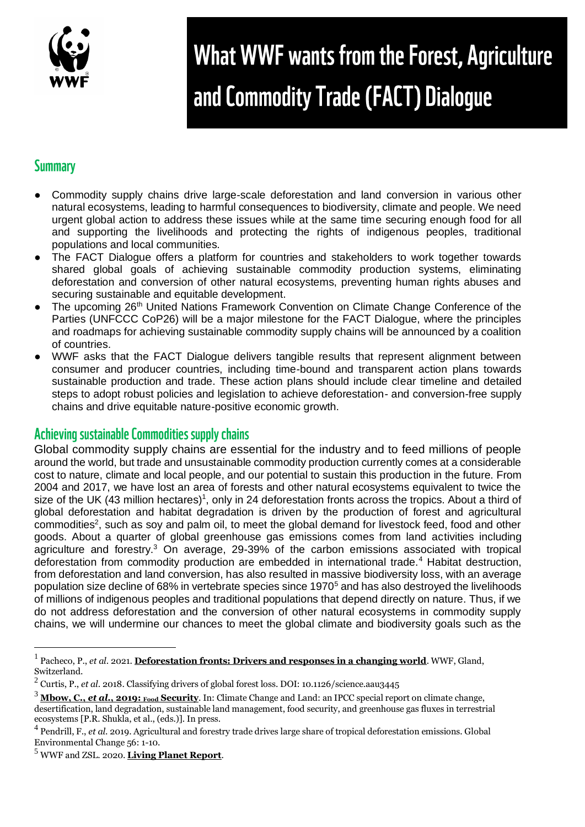

# What WWF wants from the Forest, Agriculture and Commodity Trade (FACT) Dialogue

## **Summary**

- Commodity supply chains drive large-scale deforestation and land conversion in various other natural ecosystems, leading to harmful consequences to biodiversity, climate and people. We need urgent global action to address these issues while at the same time securing enough food for all and supporting the livelihoods and protecting the rights of indigenous peoples, traditional populations and local communities.
- The FACT Dialogue offers a platform for countries and stakeholders to work together towards shared global goals of achieving sustainable commodity production systems, eliminating deforestation and conversion of other natural ecosystems, preventing human rights abuses and securing sustainable and equitable development.
- The upcoming 26<sup>th</sup> United Nations Framework Convention on Climate Change Conference of the Parties (UNFCCC CoP26) will be a major milestone for the FACT Dialogue, where the principles and roadmaps for achieving sustainable commodity supply chains will be announced by a coalition of countries.
- WWF asks that the FACT Dialogue delivers tangible results that represent alignment between consumer and producer countries, including time-bound and transparent action plans towards sustainable production and trade. These action plans should include clear timeline and detailed steps to adopt robust policies and legislation to achieve deforestation- and conversion-free supply chains and drive equitable nature-positive economic growth.

### Achieving sustainable Commodities supply chains

Global commodity supply chains are essential for the industry and to feed millions of people around the world, but trade and unsustainable commodity production currently comes at a considerable cost to nature, climate and local people, and our potential to sustain this production in the future. From 2004 and 2017, we have lost an area of forests and other natural ecosystems equivalent to twice the size of the UK (43 million hectares)<sup>1</sup>, only in 24 deforestation fronts across the tropics. About a third of global deforestation and habitat degradation is driven by the production of forest and agricultural commodities<sup>2</sup>, such as soy and palm oil, to meet the global demand for livestock feed, food and other goods. About a quarter of global greenhouse gas emissions comes from land activities including agriculture and forestry.<sup>3</sup> On average, 29-39% of the carbon emissions associated with tropical deforestation from commodity production are embedded in international trade.<sup>4</sup> Habitat destruction, from deforestation and land conversion, has also resulted in massive biodiversity loss, with an average population size decline of 68% in vertebrate species since 1970<sup>5</sup> and has also destroyed the livelihoods of millions of indigenous peoples and traditional populations that depend directly on nature. Thus, if we do not address deforestation and the conversion of other natural ecosystems in commodity supply chains, we will undermine our chances to meet the global climate and biodiversity goals such as the

<sup>1</sup> Pacheco, P., *et al*. 2021. **[Deforestation fronts: Drivers and responses in a changing world](https://wwf.panda.org/discover/our_focus/forests_practice/deforestation_fronts_/)**. WWF, Gland, Switzerland.

<sup>2</sup> Curtis, P., *et al*. 2018. Classifying drivers of global forest loss. DOI: 10.1126/science.aau3445

<sup>3</sup> **[Mbow, C.,](https://www.ipcc.ch/srccl/chapter/chapter-5/)** *[et al](https://www.ipcc.ch/srccl/chapter/chapter-5/)***[., 2019:](https://www.ipcc.ch/srccl/chapter/chapter-5/) [Food](https://www.ipcc.ch/srccl/chapter/chapter-5/) [Security](https://www.ipcc.ch/srccl/chapter/chapter-5/)**. In: Climate Change and Land: an IPCC special report on climate change, desertification, land degradation, sustainable land management, food security, and greenhouse gas fluxes in terrestrial ecosystems [P.R. Shukla, et al., (eds.)]. In press.

<sup>4</sup> Pendrill, F., *et al*. 2019. Agricultural and forestry trade drives large share of tropical deforestation emissions. Global Environmental Change 56: 1-10.

<sup>5</sup> WWF and ZSL. 2020. **[Living Planet Report](https://livingplanet.panda.org/en-gb/)**.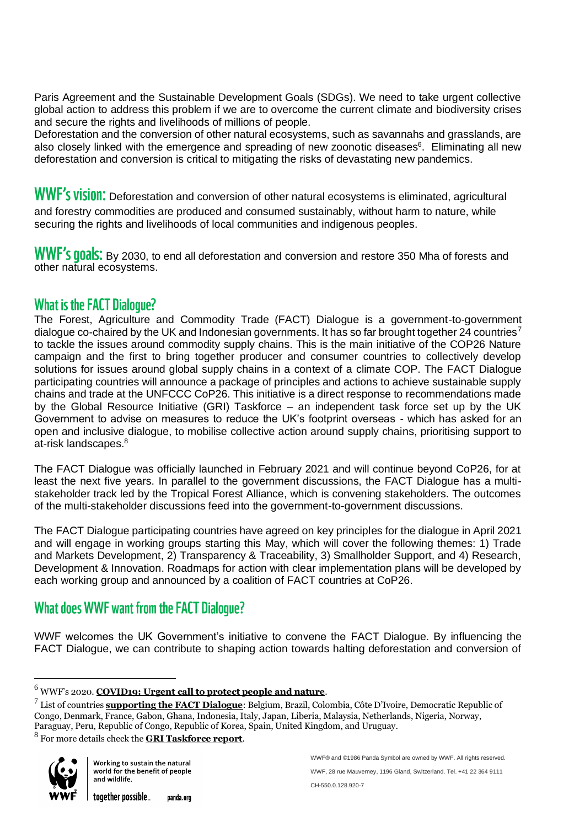Paris Agreement and the Sustainable Development Goals (SDGs). We need to take urgent collective global action to address this problem if we are to overcome the current climate and biodiversity crises and secure the rights and livelihoods of millions of people.

Deforestation and the conversion of other natural ecosystems, such as savannahs and grasslands, are also closely linked with the emergence and spreading of new zoonotic diseases<sup>6</sup>. Eliminating all new deforestation and conversion is critical to mitigating the risks of devastating new pandemics.

WWF's vision: Deforestation and conversion of other natural ecosystems is eliminated, agricultural and forestry commodities are produced and consumed sustainably, without harm to nature, while securing the rights and livelihoods of local communities and indigenous peoples.

WWF'S **00als:** By 2030, to end all deforestation and conversion and restore 350 Mha of forests and other natural ecosystems.

### **What is the FACT Dialogue?**

The Forest, Agriculture and Commodity Trade (FACT) Dialogue is a government-to-government dialogue co-chaired by the UK and Indonesian governments. It has so far brought together  $24$  countries<sup>7</sup> to tackle the issues around commodity supply chains. This is the main initiative of the COP26 Nature campaign and the first to bring together producer and consumer countries to collectively develop solutions for issues around global supply chains in a context of a climate COP. The FACT Dialogue participating countries will announce a package of principles and actions to achieve sustainable supply chains and trade at the UNFCCC CoP26. This initiative is a direct response to recommendations made by the Global Resource Initiative (GRI) Taskforce – an independent task force set up by the UK Government to advise on measures to reduce the UK's footprint overseas - which has asked for an open and inclusive dialogue, to mobilise collective action around supply chains, prioritising support to at-risk landscapes.<sup>8</sup>

The FACT Dialogue was officially launched in February 2021 and will continue beyond CoP26, for at least the next five years. In parallel to the government discussions, the FACT Dialogue has a multistakeholder track led by the Tropical Forest Alliance, which is convening stakeholders. The outcomes of the multi-stakeholder discussions feed into the government-to-government discussions.

The FACT Dialogue participating countries have agreed on key principles for the dialogue in April 2021 and will engage in working groups starting this May, which will cover the following themes: 1) Trade and Markets Development, 2) Transparency & Traceability, 3) Smallholder Support, and 4) Research, Development & Innovation. Roadmaps for action with clear implementation plans will be developed by each working group and announced by a coalition of FACT countries at CoP26.

### **What does WWF want from the FACT Dialogue?**

WWF welcomes the UK Government's initiative to convene the FACT Dialogue. By influencing the FACT Dialogue, we can contribute to shaping action towards halting deforestation and conversion of

8 For more details check the **[GRI Taskforce report](https://www.gov.uk/government/publications/global-resource-initiative-taskforce)**.



<sup>6</sup> WWF's 2020. **[COVID19: Urgent call to protect people and nature](https://wwfint.awsassets.panda.org/downloads/wwf_covid19_urgent_call_to_protect_people_and_nature_1.pdf)**.

<sup>7</sup> List of countries **[supporting the FACT Dialogue](https://www.gov.uk/government/news/joint-statement-on-principles-for-collaboration-under-the-forest-agriculture-and-commodity-trade-fact-dialogue)**: Belgium, Brazil, Colombia, Côte D'Ivoire, Democratic Republic of Congo, Denmark, France, Gabon, Ghana, Indonesia, Italy, Japan, Liberia, Malaysia, Netherlands, Nigeria, Norway, Paraguay, Peru, Republic of Congo, Republic of Korea, Spain, United Kingdom, and Uruguay.